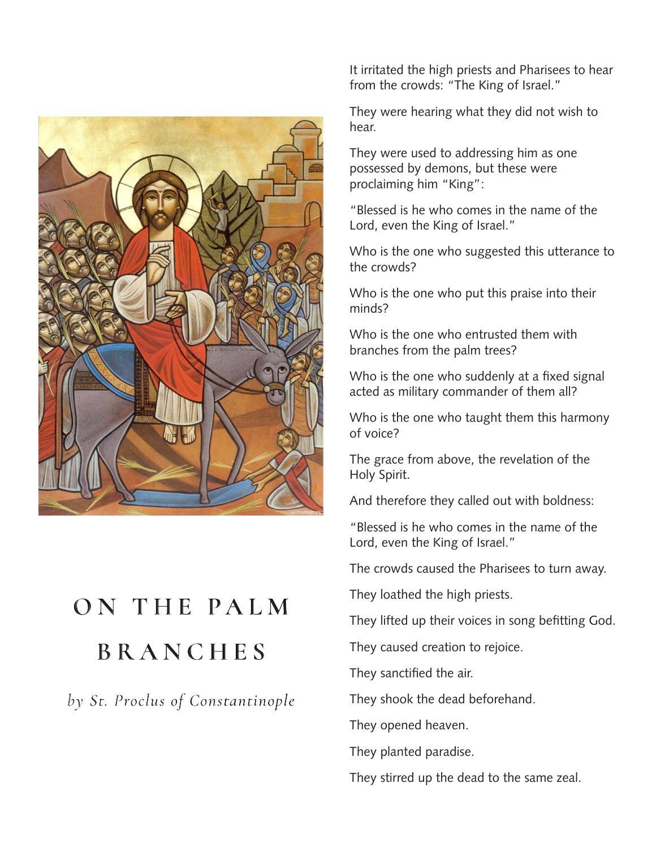

## ON THE PALM **BRANCHES**

by St. Proclus of Constantinople

It irritated the high priests and Pharisees to hear from the crowds: "The King of Israel."

They were hearing what they did not wish to hear.

They were used to addressing him as one possessed by demons, but these were proclaiming him "King":

"Blessed is he who comes in the name of the Lord, even the King of Israel."

Who is the one who suggested this utterance to the crowds?

Who is the one who put this praise into their minds?

Who is the one who entrusted them with branches from the palm trees?

Who is the one who suddenly at a fixed signal acted as military commander of them all?

Who is the one who taught them this harmony of voice?

The grace from above, the revelation of the Holy Spirit.

And therefore they called out with boldness:

"Blessed is he who comes in the name of the Lord, even the King of Israel."

The crowds caused the Pharisees to turn away.

They loathed the high priests.

They lifted up their voices in song befitting God.

They caused creation to rejoice.

They sanctified the air.

They shook the dead beforehand.

They opened heaven.

They planted paradise.

They stirred up the dead to the same zeal.